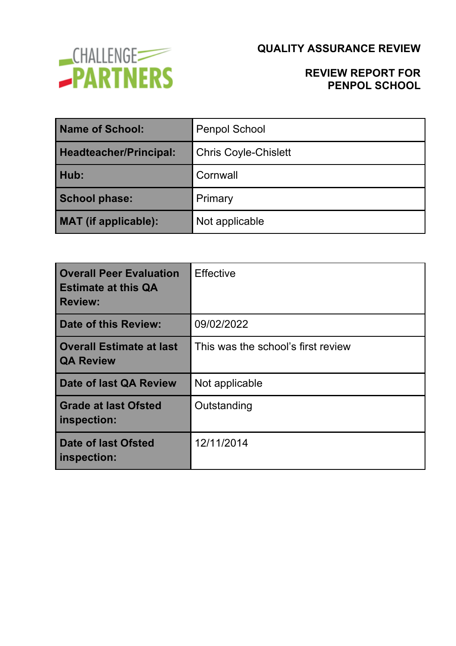

### **REVIEW REPORT FOR PENPOL SCHOOL**

| Name of School:               | <b>Penpol School</b>        |  |
|-------------------------------|-----------------------------|--|
| <b>Headteacher/Principal:</b> | <b>Chris Coyle-Chislett</b> |  |
| Hub:                          | Cornwall                    |  |
| <b>School phase:</b>          | Primary                     |  |
| <b>MAT</b> (if applicable):   | Not applicable              |  |

| <b>Overall Peer Evaluation</b><br><b>Estimate at this QA</b><br><b>Review:</b> | <b>Effective</b>                   |
|--------------------------------------------------------------------------------|------------------------------------|
| Date of this Review:                                                           | 09/02/2022                         |
| Overall Estimate at last<br><b>QA Review</b>                                   | This was the school's first review |
| Date of last QA Review                                                         | Not applicable                     |
| <b>Grade at last Ofsted</b><br>inspection:                                     | Outstanding                        |
| <b>Date of last Ofsted</b><br>inspection:                                      | 12/11/2014                         |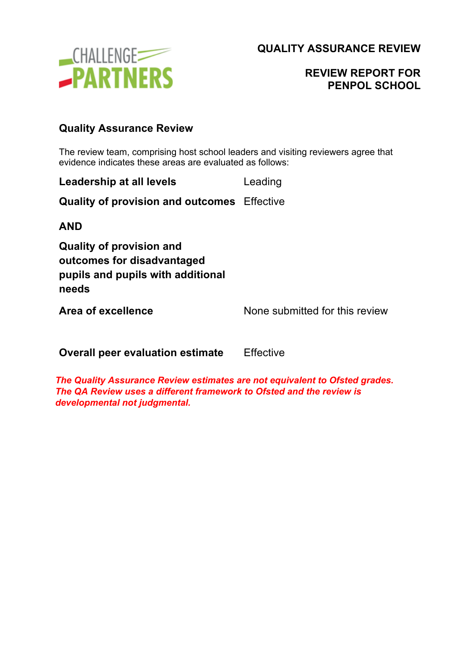

## **REVIEW REPORT FOR PENPOL SCHOOL**

### **Quality Assurance Review**

The review team, comprising host school leaders and visiting reviewers agree that evidence indicates these areas are evaluated as follows:

| Leadership at all levels | Leading |
|--------------------------|---------|
|                          |         |

**Quality of provision and outcomes** Effective

**AND**

**Quality of provision and outcomes for disadvantaged pupils and pupils with additional needs**

**Area of excellence** None submitted for this review

**Overall peer evaluation estimate** Effective

*The Quality Assurance Review estimates are not equivalent to Ofsted grades. The QA Review uses a different framework to Ofsted and the review is developmental not judgmental.*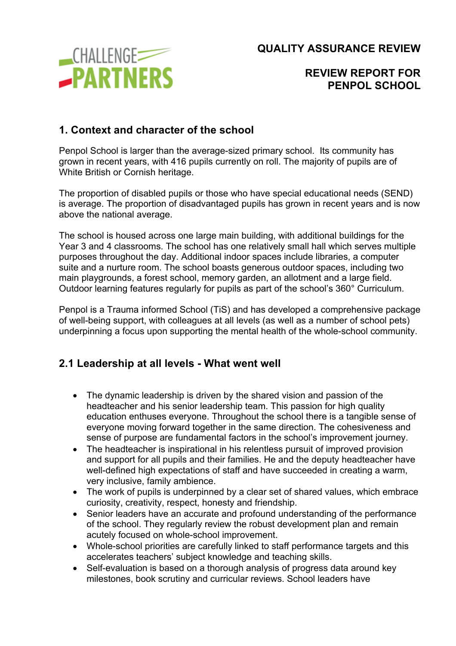

### **REVIEW REPORT FOR PENPOL SCHOOL**

### **1. Context and character of the school**

Penpol School is larger than the average-sized primary school. Its community has grown in recent years, with 416 pupils currently on roll. The majority of pupils are of White British or Cornish heritage.

The proportion of disabled pupils or those who have special educational needs (SEND) is average. The proportion of disadvantaged pupils has grown in recent years and is now above the national average.

The school is housed across one large main building, with additional buildings for the Year 3 and 4 classrooms. The school has one relatively small hall which serves multiple purposes throughout the day. Additional indoor spaces include libraries, a computer suite and a nurture room. The school boasts generous outdoor spaces, including two main playgrounds, a forest school, memory garden, an allotment and a large field. Outdoor learning features regularly for pupils as part of the school's 360° Curriculum.

Penpol is a Trauma informed School (TiS) and has developed a comprehensive package of well-being support, with colleagues at all levels (as well as a number of school pets) underpinning a focus upon supporting the mental health of the whole-school community.

### **2.1 Leadership at all levels - What went well**

- The dynamic leadership is driven by the shared vision and passion of the headteacher and his senior leadership team. This passion for high quality education enthuses everyone. Throughout the school there is a tangible sense of everyone moving forward together in the same direction. The cohesiveness and sense of purpose are fundamental factors in the school's improvement journey.
- The headteacher is inspirational in his relentless pursuit of improved provision and support for all pupils and their families. He and the deputy headteacher have well-defined high expectations of staff and have succeeded in creating a warm, very inclusive, family ambience.
- The work of pupils is underpinned by a clear set of shared values, which embrace curiosity, creativity, respect, honesty and friendship.
- Senior leaders have an accurate and profound understanding of the performance of the school. They regularly review the robust development plan and remain acutely focused on whole-school improvement.
- Whole-school priorities are carefully linked to staff performance targets and this accelerates teachers' subject knowledge and teaching skills.
- Self-evaluation is based on a thorough analysis of progress data around key milestones, book scrutiny and curricular reviews. School leaders have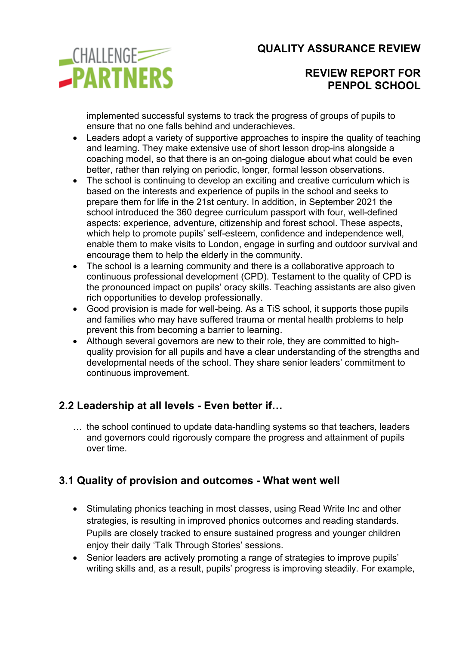

### **REVIEW REPORT FOR PENPOL SCHOOL**

implemented successful systems to track the progress of groups of pupils to ensure that no one falls behind and underachieves.

- Leaders adopt a variety of supportive approaches to inspire the quality of teaching and learning. They make extensive use of short lesson drop-ins alongside a coaching model, so that there is an on-going dialogue about what could be even better, rather than relying on periodic, longer, formal lesson observations.
- The school is continuing to develop an exciting and creative curriculum which is based on the interests and experience of pupils in the school and seeks to prepare them for life in the 21st century. In addition, in September 2021 the school introduced the 360 degree curriculum passport with four, well-defined aspects: experience, adventure, citizenship and forest school. These aspects, which help to promote pupils' self-esteem, confidence and independence well, enable them to make visits to London, engage in surfing and outdoor survival and encourage them to help the elderly in the community.
- The school is a learning community and there is a collaborative approach to continuous professional development (CPD). Testament to the quality of CPD is the pronounced impact on pupils' oracy skills. Teaching assistants are also given rich opportunities to develop professionally.
- Good provision is made for well-being. As a TiS school, it supports those pupils and families who may have suffered trauma or mental health problems to help prevent this from becoming a barrier to learning.
- Although several governors are new to their role, they are committed to highquality provision for all pupils and have a clear understanding of the strengths and developmental needs of the school. They share senior leaders' commitment to continuous improvement.

## **2.2 Leadership at all levels - Even better if…**

… the school continued to update data-handling systems so that teachers, leaders and governors could rigorously compare the progress and attainment of pupils over time.

## **3.1 Quality of provision and outcomes - What went well**

- Stimulating phonics teaching in most classes, using Read Write Inc and other strategies, is resulting in improved phonics outcomes and reading standards. Pupils are closely tracked to ensure sustained progress and younger children enjoy their daily 'Talk Through Stories' sessions.
- Senior leaders are actively promoting a range of strategies to improve pupils' writing skills and, as a result, pupils' progress is improving steadily. For example,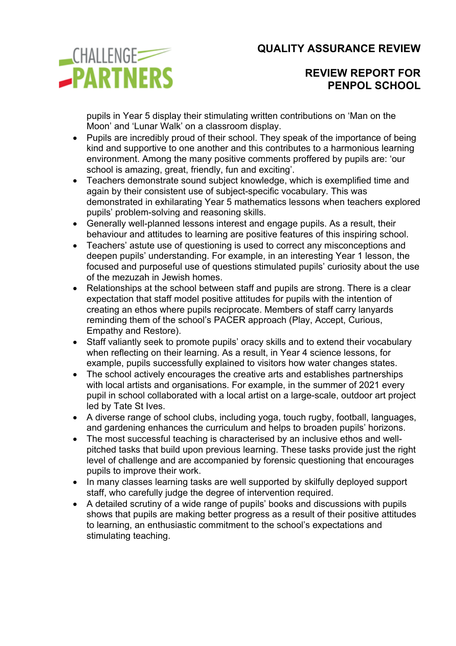

### **REVIEW REPORT FOR PENPOL SCHOOL**

pupils in Year 5 display their stimulating written contributions on 'Man on the Moon' and 'Lunar Walk' on a classroom display.

- Pupils are incredibly proud of their school. They speak of the importance of being kind and supportive to one another and this contributes to a harmonious learning environment. Among the many positive comments proffered by pupils are: 'our school is amazing, great, friendly, fun and exciting'.
- Teachers demonstrate sound subject knowledge, which is exemplified time and again by their consistent use of subject-specific vocabulary. This was demonstrated in exhilarating Year 5 mathematics lessons when teachers explored pupils' problem-solving and reasoning skills.
- Generally well-planned lessons interest and engage pupils. As a result, their behaviour and attitudes to learning are positive features of this inspiring school.
- Teachers' astute use of questioning is used to correct any misconceptions and deepen pupils' understanding. For example, in an interesting Year 1 lesson, the focused and purposeful use of questions stimulated pupils' curiosity about the use of the mezuzah in Jewish homes.
- Relationships at the school between staff and pupils are strong. There is a clear expectation that staff model positive attitudes for pupils with the intention of creating an ethos where pupils reciprocate. Members of staff carry lanyards reminding them of the school's PACER approach (Play, Accept, Curious, Empathy and Restore).
- Staff valiantly seek to promote pupils' oracy skills and to extend their vocabulary when reflecting on their learning. As a result, in Year 4 science lessons, for example, pupils successfully explained to visitors how water changes states.
- The school actively encourages the creative arts and establishes partnerships with local artists and organisations. For example, in the summer of 2021 every pupil in school collaborated with a local artist on a large-scale, outdoor art project led by Tate St Ives.
- A diverse range of school clubs, including yoga, touch rugby, football, languages, and gardening enhances the curriculum and helps to broaden pupils' horizons.
- The most successful teaching is characterised by an inclusive ethos and wellpitched tasks that build upon previous learning. These tasks provide just the right level of challenge and are accompanied by forensic questioning that encourages pupils to improve their work.
- In many classes learning tasks are well supported by skilfully deployed support staff, who carefully judge the degree of intervention required.
- A detailed scrutiny of a wide range of pupils' books and discussions with pupils shows that pupils are making better progress as a result of their positive attitudes to learning, an enthusiastic commitment to the school's expectations and stimulating teaching.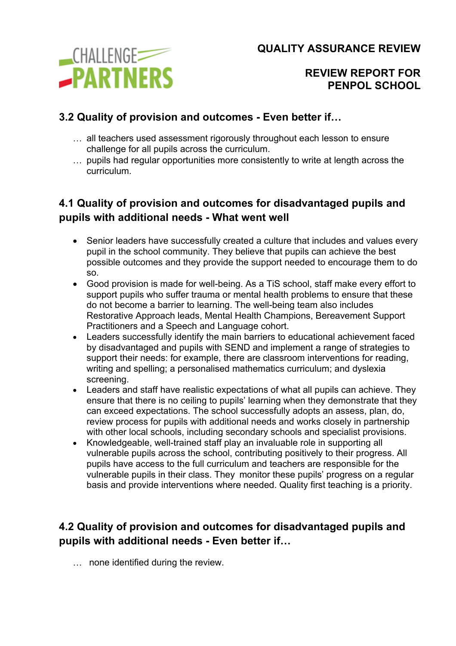

#### **REVIEW REPORT FOR PENPOL SCHOOL**

## **3.2 Quality of provision and outcomes - Even better if…**

- … all teachers used assessment rigorously throughout each lesson to ensure challenge for all pupils across the curriculum.
- … pupils had regular opportunities more consistently to write at length across the curriculum.

## **4.1 Quality of provision and outcomes for disadvantaged pupils and pupils with additional needs - What went well**

- Senior leaders have successfully created a culture that includes and values every pupil in the school community. They believe that pupils can achieve the best possible outcomes and they provide the support needed to encourage them to do so.
- Good provision is made for well-being. As a TiS school, staff make every effort to support pupils who suffer trauma or mental health problems to ensure that these do not become a barrier to learning. The well-being team also includes Restorative Approach leads, Mental Health Champions, Bereavement Support Practitioners and a Speech and Language cohort.
- Leaders successfully identify the main barriers to educational achievement faced by disadvantaged and pupils with SEND and implement a range of strategies to support their needs: for example, there are classroom interventions for reading, writing and spelling; a personalised mathematics curriculum; and dyslexia screening.
- Leaders and staff have realistic expectations of what all pupils can achieve. They ensure that there is no ceiling to pupils' learning when they demonstrate that they can exceed expectations. The school successfully adopts an assess, plan, do, review process for pupils with additional needs and works closely in partnership with other local schools, including secondary schools and specialist provisions.
- Knowledgeable, well-trained staff play an invaluable role in supporting all vulnerable pupils across the school, contributing positively to their progress. All pupils have access to the full curriculum and teachers are responsible for the vulnerable pupils in their class. They monitor these pupils' progress on a regular basis and provide interventions where needed. Quality first teaching is a priority.

# **4.2 Quality of provision and outcomes for disadvantaged pupils and pupils with additional needs - Even better if…**

… none identified during the review.